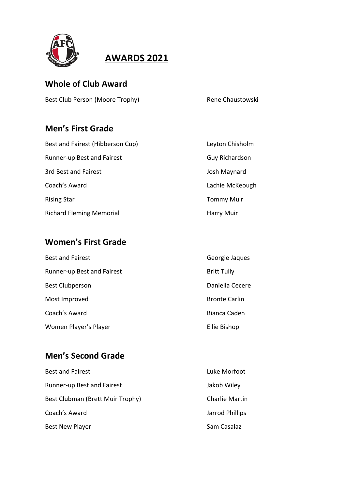

## **AWARDS 2021**

#### **Whole of Club Award**

Best Club Person (Moore Trophy) Rene Chaustowski

# **Men's First Grade**

| Best and Fairest (Hibberson Cup) | Leyton Chisholm   |
|----------------------------------|-------------------|
| Runner-up Best and Fairest       | Guy Richardson    |
| 3rd Best and Fairest             | Josh Maynard      |
| Coach's Award                    | Lachie McKeough   |
| <b>Rising Star</b>               | <b>Tommy Muir</b> |
| <b>Richard Fleming Memorial</b>  | <b>Harry Muir</b> |

## **Women's First Grade**

| <b>Best and Fairest</b>    | Georgie Jaques       |
|----------------------------|----------------------|
| Runner-up Best and Fairest | <b>Britt Tully</b>   |
| <b>Best Clubperson</b>     | Daniella Cecere      |
| Most Improved              | <b>Bronte Carlin</b> |
| Coach's Award              | Bianca Caden         |
| Women Player's Player      | Ellie Bishop         |

#### **Men's Second Grade**

| <b>Best and Fairest</b>          | Luke Morfoot          |
|----------------------------------|-----------------------|
| Runner-up Best and Fairest       | Jakob Wiley           |
| Best Clubman (Brett Muir Trophy) | <b>Charlie Martin</b> |
| Coach's Award                    | Jarrod Phillips       |
| <b>Best New Player</b>           | Sam Casalaz           |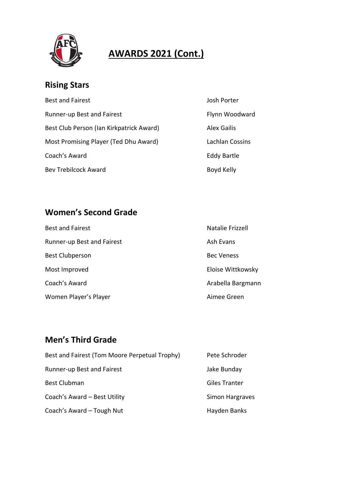

# **AWARDS 2021 (Cont.)**

Josh Porter

Alex Gailis

Eddy Bartle

Boyd Kelly

Flynn Woodward

Lachlan Cossins

## **Rising Stars**

| <b>Best and Fairest</b>                  |  |
|------------------------------------------|--|
| Runner-up Best and Fairest               |  |
| Best Club Person (Ian Kirkpatrick Award) |  |
| Most Promising Player (Ted Dhu Award)    |  |
| Coach's Award                            |  |
| <b>Bev Trebilcock Award</b>              |  |

## **Women's Second Grade**

| <b>Best and Fairest</b>    | Natalie Frizzell  |
|----------------------------|-------------------|
| Runner-up Best and Fairest | Ash Evans         |
| <b>Best Clubperson</b>     | <b>Bec Veness</b> |
| Most Improved              | Eloise Wittkowsky |
| Coach's Award              | Arabella Bargmann |
| Women Player's Player      | Aimee Green       |

## **Men's Third Grade**

| Best and Fairest (Tom Moore Perpetual Trophy) | Pete Schroder        |
|-----------------------------------------------|----------------------|
| Runner-up Best and Fairest                    | Jake Bunday          |
| <b>Best Clubman</b>                           | <b>Giles Tranter</b> |
| Coach's Award - Best Utility                  | Simon Hargraves      |
| Coach's Award - Tough Nut                     | Hayden Banks         |